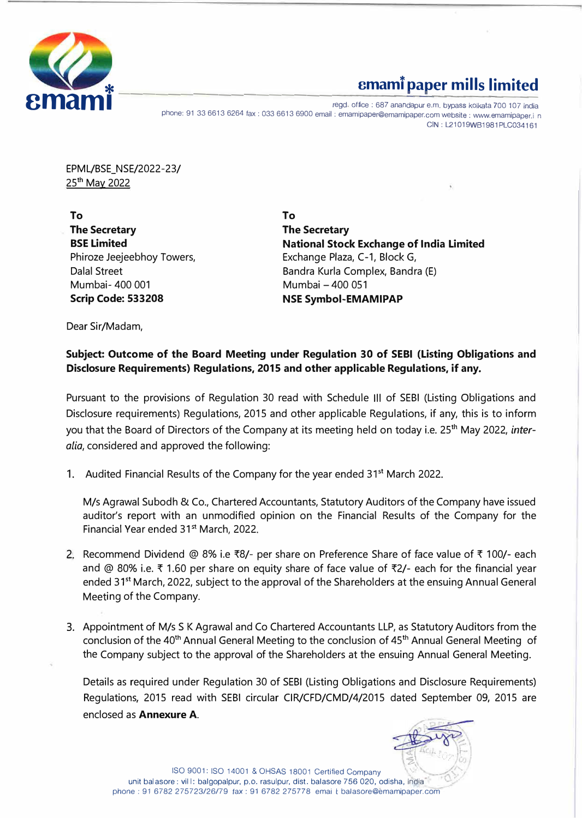

# **cmami paper mills limited**

ergd. office : 687 anandapur e.m. bypass kolkata 700 107 india<br>phone: 91 33 6613 6264 fax : 033 6613 6900 email : emamipaper@emamipaper.com website : www.emamipaper.in fice : 687 anandapur e.m. bypass kolkata 700 107 ind GIN: L21019WB1981PLC034161

EPML/BSE\_NSE/2022-23/ 25th May 2022

**To To The Secretary The Secretary BSE Limited**  Phiroze Jeejeebhoy Towers, Dalal Street Mumbai- 400 001 Mumbai -400 051 **Scrip Code: 533208 NSE Symbol-EMAMIPAP** 

**National Stock Exchange of India Limited**  Exchange Plaza, C-1, Block G, Bandra Kurla Complex, Bandra (E)

Dear Sir/Madam,

#### **Subject: Outcome of the Board Meeting under Regulation 30 of SEBI (Listing Obligations and Disclosure Requirements) Regulations, 2015 and other applicable Regulations, if any.**

Pursuant to the provisions of Regulation 30 read with Schedule Ill of SEBI (Listing Obligations and Disclosure requirements) Regulations, 2015 and other applicable Regulations, if any, this is to inform you that the Board of Directors of the Company at its meeting held on today i.e. 25<sup>t</sup>h May 2022, *interalia,* considered and approved the following:

1. Audited Financial Results of the Company for the year ended 31<sup>st</sup> March 2022.

M/s Agrawal Subodh & Co., Chartered Accountants, Statutory Auditors of the Company have issued auditor's report with an unmodified opinion on the Financial Results of the Company for the Financial Year ended 31<sup>st</sup> March, 2022.

- 2. Recommend Dividend @ 8% i.e  $\bar{x}8/2$  per share on Preference Share of face value of  $\bar{x}$  100/- each and @ 80% i.e.  $\bar{\tau}$  1.60 per share on equity share of face value of  $\bar{\tau}$ 2/- each for the financial year ended 31<sup>st</sup> March, 2022, subject to the approval of the Shareholders at the ensuing Annual General Meeting of the Company.
- 3. Appointment of M/s S K Agrawal and Co Chartered Accountants LLP, as Statutory Auditors from the conclusion of the 40**th** Annual General Meeting to the conclusion of 45th Annual General Meeting of the Company subject to the approval of the Shareholders at the ensuing Annual General Meeting.

Details as required under Regulation 30 of SEBI (Listing Obligations and Disclosure Requirements) Regulations, 2015 read with SEBI circular CIR/CFD/CMD/4/2015 dated September 09, 2015 are enclosed as **Annexure A.** 

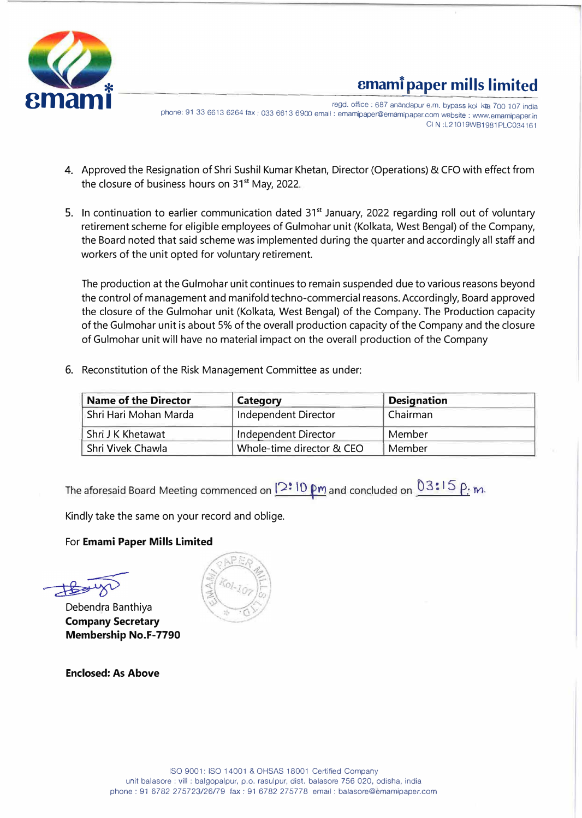

# **cmamt paper mills limited**

regd. office : 687 anandapur e.m. bypass kol kta 700 107 india<br>phone: 91 33 6613 6264 fax : 033 6613 6900 email : emamipaper@emamipaper.com website : www.emamipaper.in egd. office : 687 anandapur e.m. bypass kol kta 700 107 india \_ \_ 8 .<br>ا \_ \_ CIN: L21019WB1981PLC034161

- 4. Approved the Resignation of Shri Sushil Kumar Khetan, Director (Operations) & CFO with effect from the closure of business hours on 31<sup>st</sup> May, 2022.
- 5. In continuation to earlier communication dated 31<sup>st</sup> January, 2022 regarding roll out of voluntary retirement scheme for eligible employees of Gulmohar unit (Kolkata, West Bengal) of the Company, the Board noted that said scheme was implemented during the quarter and accordingly all staff and workers of the unit opted for voluntary retirement.

The production at the Gulmohar unit continues to remain suspended due to various reasons beyond the control of management and manifold techno-commercial reasons. Accordingly, Board approved the closure of the Gulmohar unit (Kolkata, West Bengal) of the Company. The Production capacity of the Gulmohar unit is about 5% of the overall production capacity of the Company and the closure of Gulmohar unit will have no material impact on the overall production of the Company

6. Reconstitution of the Risk Management Committee as under:

| <b>Name of the Director</b>                              | Category             | <b>Designation</b> |  |
|----------------------------------------------------------|----------------------|--------------------|--|
| Shri Hari Mohan Marda                                    | Independent Director | Chairman           |  |
| Shri J K Khetawat                                        | Independent Director | Member             |  |
| Shri Vivek Chawla<br>Whole-time director & CEO<br>Member |                      |                    |  |

The aforesaid Board Meeting commenced on  $12:10 \text{ pm}$  and concluded on  $03:15 \text{ p}$ .

Kindly take the same on your record and oblige.

For **Emami Paper Mills Limited**

Debendra Banthiya **Company Secretary Membership No.F-7790** 

**Enclosed: As Above**